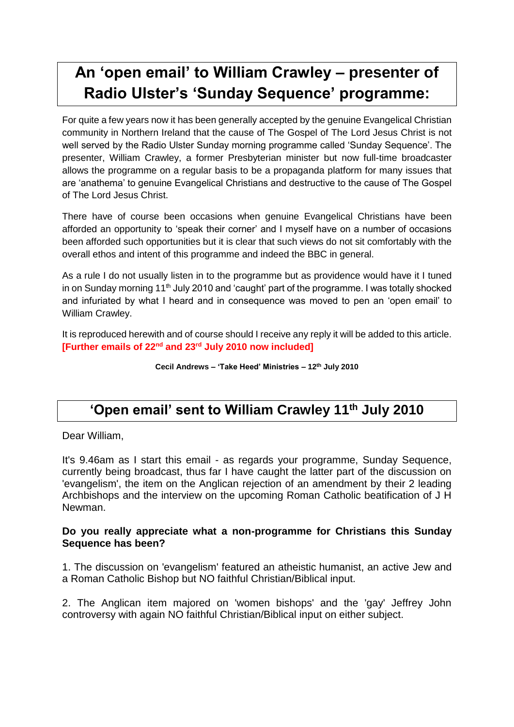# **An 'open email' to William Crawley – presenter of Radio Ulster's 'Sunday Sequence' programme:**

For quite a few years now it has been generally accepted by the genuine Evangelical Christian community in Northern Ireland that the cause of The Gospel of The Lord Jesus Christ is not well served by the Radio Ulster Sunday morning programme called 'Sunday Sequence'. The presenter, William Crawley, a former Presbyterian minister but now full-time broadcaster allows the programme on a regular basis to be a propaganda platform for many issues that are 'anathema' to genuine Evangelical Christians and destructive to the cause of The Gospel of The Lord Jesus Christ.

There have of course been occasions when genuine Evangelical Christians have been afforded an opportunity to 'speak their corner' and I myself have on a number of occasions been afforded such opportunities but it is clear that such views do not sit comfortably with the overall ethos and intent of this programme and indeed the BBC in general.

As a rule I do not usually listen in to the programme but as providence would have it I tuned in on Sunday morning 11<sup>th</sup> July 2010 and 'caught' part of the programme. I was totally shocked and infuriated by what I heard and in consequence was moved to pen an 'open email' to William Crawley.

It is reproduced herewith and of course should I receive any reply it will be added to this article. **[Further emails of 22nd and 23rd July 2010 now included]**

**Cecil Andrews – 'Take Heed' Ministries – 12th July 2010**

### **'Open email' sent to William Crawley 11th July 2010**

Dear William,

It's 9.46am as I start this email - as regards your programme, Sunday Sequence, currently being broadcast, thus far I have caught the latter part of the discussion on 'evangelism', the item on the Anglican rejection of an amendment by their 2 leading Archbishops and the interview on the upcoming Roman Catholic beatification of J H Newman.

#### **Do you really appreciate what a non-programme for Christians this Sunday Sequence has been?**

1. The discussion on 'evangelism' featured an atheistic humanist, an active Jew and a Roman Catholic Bishop but NO faithful Christian/Biblical input.

2. The Anglican item majored on 'women bishops' and the 'gay' Jeffrey John controversy with again NO faithful Christian/Biblical input on either subject.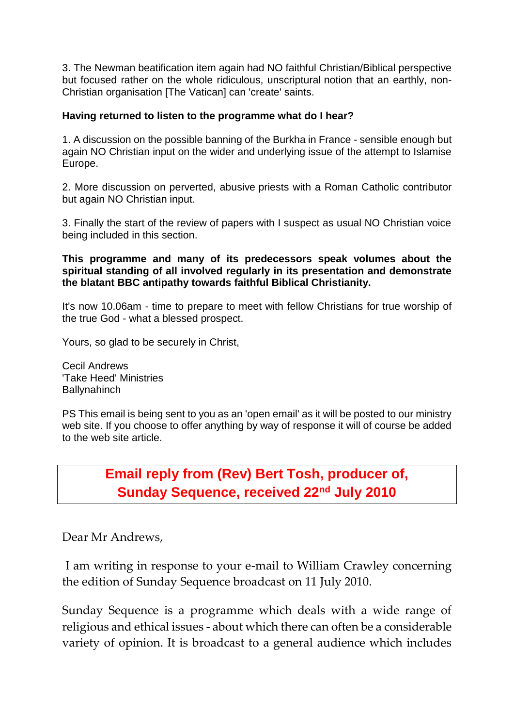3. The Newman beatification item again had NO faithful Christian/Biblical perspective but focused rather on the whole ridiculous, unscriptural notion that an earthly, non-Christian organisation [The Vatican] can 'create' saints.

#### **Having returned to listen to the programme what do I hear?**

1. A discussion on the possible banning of the Burkha in France - sensible enough but again NO Christian input on the wider and underlying issue of the attempt to Islamise Europe.

2. More discussion on perverted, abusive priests with a Roman Catholic contributor but again NO Christian input.

3. Finally the start of the review of papers with I suspect as usual NO Christian voice being included in this section.

**This programme and many of its predecessors speak volumes about the spiritual standing of all involved regularly in its presentation and demonstrate the blatant BBC antipathy towards faithful Biblical Christianity.**

It's now 10.06am - time to prepare to meet with fellow Christians for true worship of the true God - what a blessed prospect.

Yours, so glad to be securely in Christ,

Cecil Andrews 'Take Heed' Ministries **Ballynahinch** 

PS This email is being sent to you as an 'open email' as it will be posted to our ministry web site. If you choose to offer anything by way of response it will of course be added to the web site article.

> **Email reply from (Rev) Bert Tosh, producer of, Sunday Sequence, received 22nd July 2010**

Dear Mr Andrews,

I am writing in response to your e-mail to William Crawley concerning the edition of Sunday Sequence broadcast on 11 July 2010.

Sunday Sequence is a programme which deals with a wide range of religious and ethical issues - about which there can often be a considerable variety of opinion. It is broadcast to a general audience which includes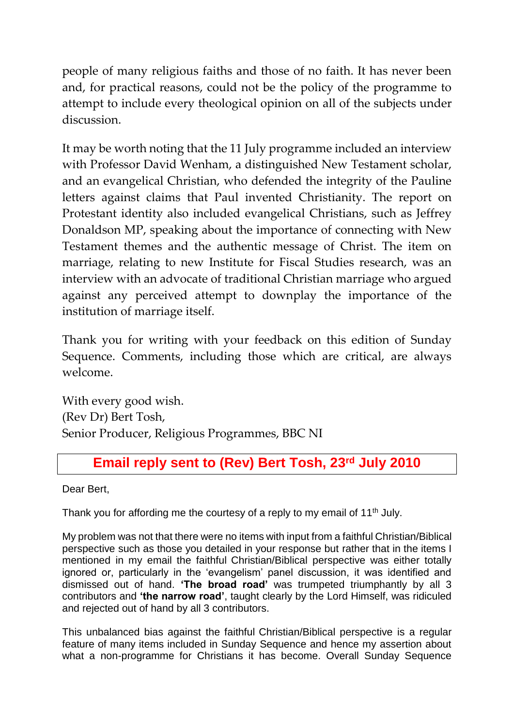people of many religious faiths and those of no faith. It has never been and, for practical reasons, could not be the policy of the programme to attempt to include every theological opinion on all of the subjects under discussion.

It may be worth noting that the 11 July programme included an interview with Professor David Wenham, a distinguished New Testament scholar, and an evangelical Christian, who defended the integrity of the Pauline letters against claims that Paul invented Christianity. The report on Protestant identity also included evangelical Christians, such as Jeffrey Donaldson MP, speaking about the importance of connecting with New Testament themes and the authentic message of Christ. The item on marriage, relating to new Institute for Fiscal Studies research, was an interview with an advocate of traditional Christian marriage who argued against any perceived attempt to downplay the importance of the institution of marriage itself.

Thank you for writing with your feedback on this edition of Sunday Sequence. Comments, including those which are critical, are always welcome.

With every good wish. (Rev Dr) Bert Tosh, Senior Producer, Religious Programmes, BBC NI

## **Email reply sent to (Rev) Bert Tosh, 23 rd July 2010**

Dear Bert,

Thank you for affording me the courtesy of a reply to my email of 11<sup>th</sup> July.

My problem was not that there were no items with input from a faithful Christian/Biblical perspective such as those you detailed in your response but rather that in the items I mentioned in my email the faithful Christian/Biblical perspective was either totally ignored or, particularly in the 'evangelism' panel discussion, it was identified and dismissed out of hand. **'The broad road'** was trumpeted triumphantly by all 3 contributors and **'the narrow road'**, taught clearly by the Lord Himself, was ridiculed and rejected out of hand by all 3 contributors.

This unbalanced bias against the faithful Christian/Biblical perspective is a regular feature of many items included in Sunday Sequence and hence my assertion about what a non-programme for Christians it has become. Overall Sunday Sequence